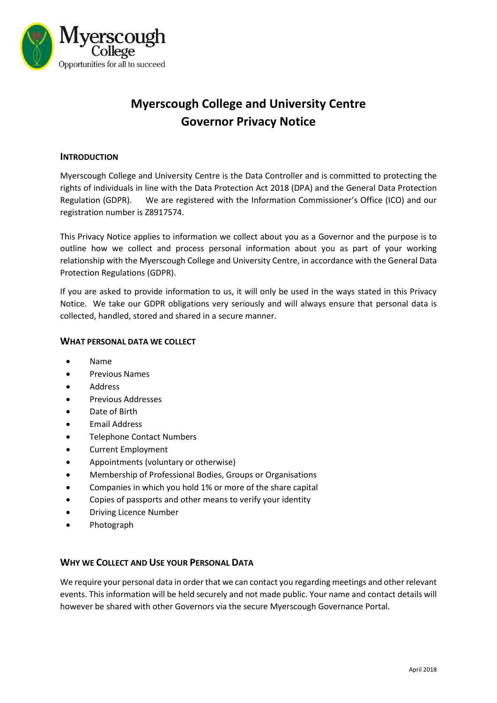

# **Myerscough College and University Centre Governor Privacy Notice**

# **INTRODUCTION**

Myerscough College and University Centre is the Data Controller and is committed to protecting the rights of individuals in line with the Data Protection Act 2018 (DPA) and the General Data Protection Regulation (GDPR). We are registered with the Information Commissioner's Office (ICO) and our registration number is Z8917574.

This Privacy Notice applies to information we collect about you as a Governor and the purpose is to outline how we collect and process personal information about you as part of your working relationship with the Myerscough College and University Centre, in accordance with the General Data Protection Regulations (GDPR).

If you are asked to provide information to us, it will only be used in the ways stated in this Privacy Notice. We take our GDPR obligations very seriously and will always ensure that personal data is collected, handled, stored and shared in a secure manner.

# **WHAT PERSONAL DATA WE COLLECT**

- Name
- **•** Previous Names
- Address
- **•** Previous Addresses
- Date of Birth
- **•** Email Address
- Telephone Contact Numbers
- Current Employment
- Appointments (voluntary or otherwise)
- Membership of Professional Bodies, Groups or Organisations
- Companies in which you hold 1% or more of the share capital
- Copies of passports and other means to verify your identity
- Driving Licence Number
- Photograph

# **WHY WE COLLECT AND USE YOUR PERSONAL DATA**

We require your personal data in order that we can contact you regarding meetings and other relevant events. This information will be held securely and not made public. Your name and contact details will however be shared with other Governors via the secure Myerscough Governance Portal.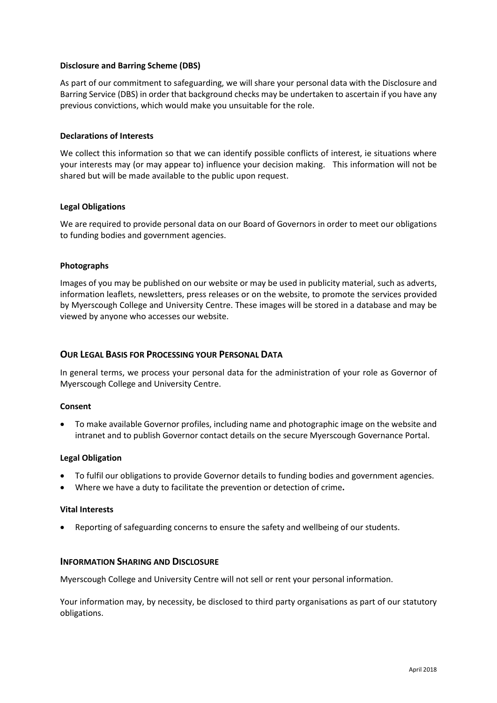# **Disclosure and Barring Scheme (DBS)**

As part of our commitment to safeguarding, we will share your personal data with the Disclosure and Barring Service (DBS) in order that background checks may be undertaken to ascertain if you have any previous convictions, which would make you unsuitable for the role.

## **Declarations of Interests**

We collect this information so that we can identify possible conflicts of interest, ie situations where your interests may (or may appear to) influence your decision making. This information will not be shared but will be made available to the public upon request.

## **Legal Obligations**

We are required to provide personal data on our Board of Governors in order to meet our obligations to funding bodies and government agencies.

## **Photographs**

Images of you may be published on our website or may be used in publicity material, such as adverts, information leaflets, newsletters, press releases or on the website, to promote the services provided by Myerscough College and University Centre. These images will be stored in a database and may be viewed by anyone who accesses our website.

# **OUR LEGAL BASIS FOR PROCESSING YOUR PERSONAL DATA**

In general terms, we process your personal data for the administration of your role as Governor of Myerscough College and University Centre.

#### **Consent**

 To make available Governor profiles, including name and photographic image on the website and intranet and to publish Governor contact details on the secure Myerscough Governance Portal.

#### **Legal Obligation**

- To fulfil our obligations to provide Governor details to funding bodies and government agencies.
- Where we have a duty to facilitate the prevention or detection of crime**.**

#### **Vital Interests**

Reporting of safeguarding concerns to ensure the safety and wellbeing of our students.

## **INFORMATION SHARING AND DISCLOSURE**

Myerscough College and University Centre will not sell or rent your personal information.

Your information may, by necessity, be disclosed to third party organisations as part of our statutory obligations.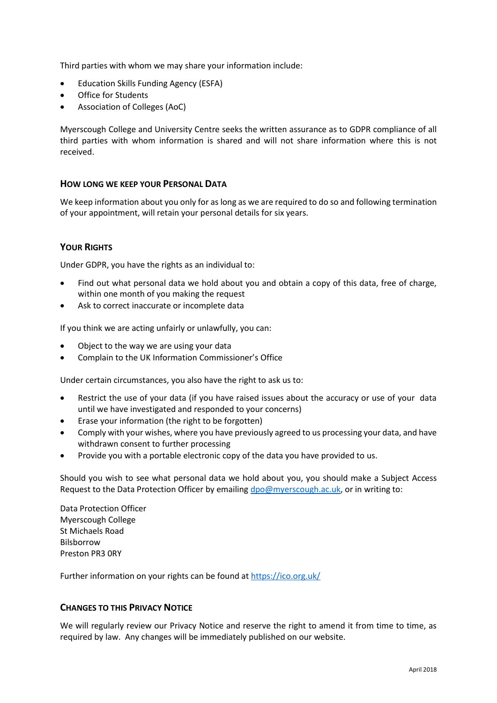Third parties with whom we may share your information include:

- Education Skills Funding Agency (ESFA)
- Office for Students
- Association of Colleges (AoC)

Myerscough College and University Centre seeks the written assurance as to GDPR compliance of all third parties with whom information is shared and will not share information where this is not received.

# **HOW LONG WE KEEP YOUR PERSONAL DATA**

We keep information about you only for as long as we are required to do so and following termination of your appointment, will retain your personal details for six years.

# **YOUR RIGHTS**

Under GDPR, you have the rights as an individual to:

- Find out what personal data we hold about you and obtain a copy of this data, free of charge, within one month of you making the request
- Ask to correct inaccurate or incomplete data

If you think we are acting unfairly or unlawfully, you can:

- Object to the way we are using your data
- Complain to the UK Information [Commissioner's Office](https://ico.org.uk/)

Under certain circumstances, you also have the right to ask us to:

- Restrict the use of your data (if you have raised issues about the accuracy or use of your data until we have investigated and responded to your concerns)
- Erase your information (the right to be forgotten)
- Comply with your wishes, where you have previously agreed to us processing your data, and have withdrawn consent to further processing
- Provide you with a portable electronic copy of the data you have provided to us.

Should you wish to see what personal data we hold about you, you should make a Subject Access Request to the Data Protection Officer by emailing [dpo@myerscough.ac.uk,](mailto:dpo@myerscough.ac.uk) or in writing to:

Data Protection Officer Myerscough College St Michaels Road **Bilshorrow** Preston PR3 0RY

Further information on your rights can be found a[t https://ico.org.uk/](https://ico.org.uk/)

# **CHANGES TO THIS PRIVACY NOTICE**

We will regularly review our Privacy Notice and reserve the right to amend it from time to time, as required by law. Any changes will be immediately published on our website.